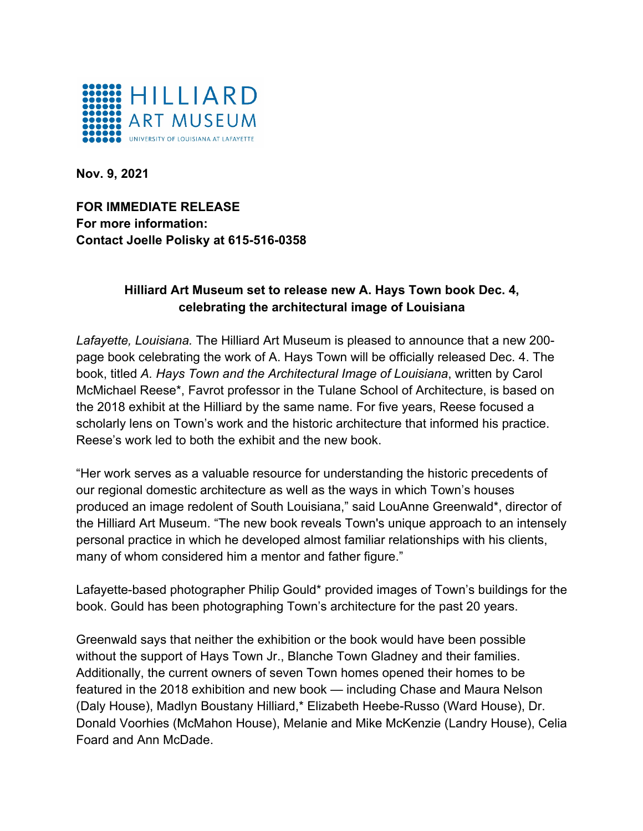

**Nov. 9, 2021**

**FOR IMMEDIATE RELEASE For more information: Contact Joelle Polisky at 615-516-0358**

## **Hilliard Art Museum set to release new A. Hays Town book Dec. 4, celebrating the architectural image of Louisiana**

*Lafayette, Louisiana.* The Hilliard Art Museum is pleased to announce that a new 200 page book celebrating the work of A. Hays Town will be officially released Dec. 4. The book, titled *A. Hays Town and the Architectural Image of Louisiana*, written by Carol McMichael Reese\*, Favrot professor in the Tulane School of Architecture, is based on the 2018 exhibit at the Hilliard by the same name. For five years, Reese focused a scholarly lens on Town's work and the historic architecture that informed his practice. Reese's work led to both the exhibit and the new book.

"Her work serves as a valuable resource for understanding the historic precedents of our regional domestic architecture as well as the ways in which Town's houses produced an image redolent of South Louisiana," said LouAnne Greenwald\*, director of the Hilliard Art Museum. "The new book reveals Town's unique approach to an intensely personal practice in which he developed almost familiar relationships with his clients, many of whom considered him a mentor and father figure."

Lafayette-based photographer Philip Gould\* provided images of Town's buildings for the book. Gould has been photographing Town's architecture for the past 20 years.

Greenwald says that neither the exhibition or the book would have been possible without the support of Hays Town Jr., Blanche Town Gladney and their families. Additionally, the current owners of seven Town homes opened their homes to be featured in the 2018 exhibition and new book — including Chase and Maura Nelson (Daly House), Madlyn Boustany Hilliard,\* Elizabeth Heebe-Russo (Ward House), Dr. Donald Voorhies (McMahon House), Melanie and Mike McKenzie (Landry House), Celia Foard and Ann McDade.